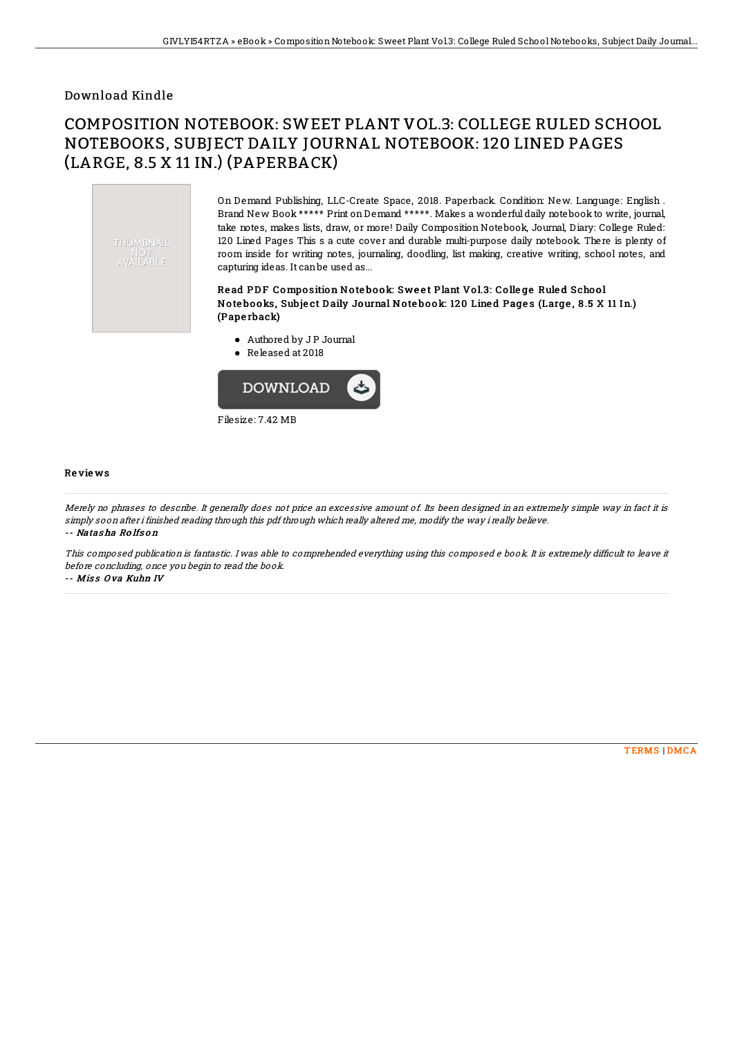### Download Kindle

# COMPOSITION NOTEBOOK: SWEET PLANT VOL.3: COLLEGE RULED SCHOOL NOTEBOOKS, SUBJECT DAILY JOURNAL NOTEBOOK: 120 LINED PAGES (LARGE, 8.5 X 11 IN.) (PAPERBACK)



On Demand Publishing, LLC-Create Space, 2018. Paperback. Condition: New. Language: English . Brand New Book \*\*\*\*\* Print onDemand \*\*\*\*\*. Makes a wonderful daily notebook to write, journal, take notes, makes lists, draw, or more! Daily Composition Notebook, Journal, Diary: College Ruled: 120 Lined Pages This s a cute cover and durable multi-purpose daily notebook. There is plenty of room inside for writing notes, journaling, doodling, list making, creative writing, school notes, and capturing ideas. It canbe used as...

#### Read PDF Composition Notebook: Sweet Plant Vol.3: College Ruled School Notebooks, Subject Daily Journal Notebook: 120 Lined Pages (Large, 8.5 X 11 In.) (Pape rback)

- Authored by J P Journal
- Released at 2018



#### Re vie ws

Merely no phrases to describe. It generally does not price an excessive amount of. Its been designed in an extremely simple way in fact it is simply soon after i finished reading through this pdf through which really altered me, modify the way i really believe. -- Natas ha Ro lfs o <sup>n</sup>

This composed publication is fantastic. I was able to comprehended everything using this composed e book. It is extremely difficult to leave it before concluding, once you begin to read the book.

-- Miss Ova Kuhn IV